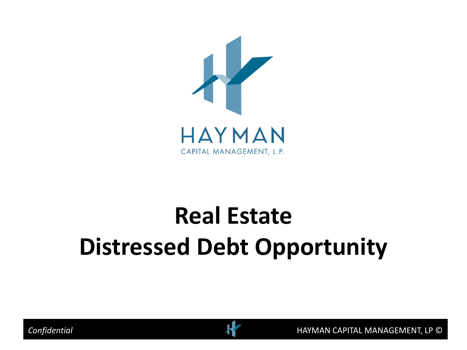

# **Real Estate Distressed Debt Opportunity**

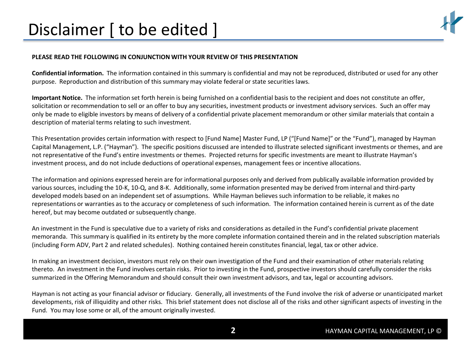# Disclaimer [ to be edited ]

### **PLEASE READ THE FOLLOWING IN CONJUNCTION WITH YOUR REVIEW OF THIS PRESENTATION**

**Confidential information.** The information contained in this summary is confidential and may not be reproduced, distributed or used for any other purpose. Reproduction and distribution of this summary may violate federal or state securities laws.

**Important Notice.** The information set forth herein is being furnished on a confidential basis to the recipient and does not constitute an offer, solicitation or recommendation to sell or an offer to buy any securities, investment products or investment advisory services. Such an offer may only be made to eligible investors by means of delivery of a confidential private placement memorandum or other similar materials that contain a description of material terms relating to such investment.

This Presentation provides certain information with respect to [Fund Name] Master Fund, LP ("[Fund Name]" or the "Fund"), managed by Hayman Capital Management, L.P. ("Hayman"). The specific positions discussed are intended to illustrate selected significant investments or themes, and are not representative of the Fund's entire investments or themes. Projected returns for specific investments are meant to illustrate Hayman's investment process, and do not include deductions of operational expenses, management fees or incentive allocations.

The information and opinions expressed herein are for informational purposes only and derived from publically available information provided by various sources, including the 10-K, 10-Q, and 8-K. Additionally, some information presented may be derived from internal and third-party developed models based on an independent set of assumptions. While Hayman believes such information to be reliable, it makes no representations or warranties as to the accuracy or completeness of such information. The information contained herein is current as of the date hereof, but may become outdated or subsequently change.

An investment in the Fund is speculative due to a variety of risks and considerations as detailed in the Fund's confidential private placement memoranda. This summary is qualified in its entirety by the more complete information contained therein and in the related subscription materials (including Form ADV, Part 2 and related schedules). Nothing contained herein constitutes financial, legal, tax or other advice.

In making an investment decision, investors must rely on their own investigation of the Fund and their examination of other materials relating thereto. An investment in the Fund involves certain risks. Prior to investing in the Fund, prospective investors should carefully consider the risks summarized in the Offering Memorandum and should consult their own investment advisors, and tax, legal or accounting advisors.

Hayman is not acting as your financial advisor or fiduciary. Generally, all investments of the Fund involve the risk of adverse or unanticipated market developments, risk of illiquidity and other risks. This brief statement does not disclose all of the risks and other significant aspects of investing in the Fund. You may lose some or all, of the amount originally invested.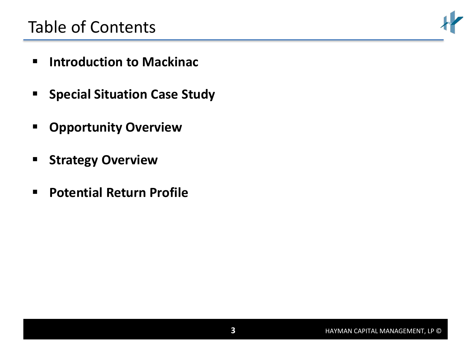# Table of Contents

- **Introduction to Mackinac**
- **F** Special Situation Case Study
- **Opportunity Overview**
- **E** Strategy Overview
- **Potential Return Profile**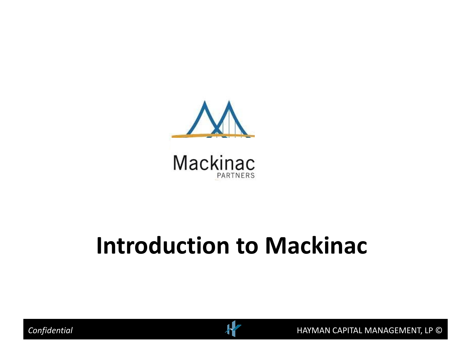

**Mackinac PARTNERS** 

# **Introduction to Mackinac**



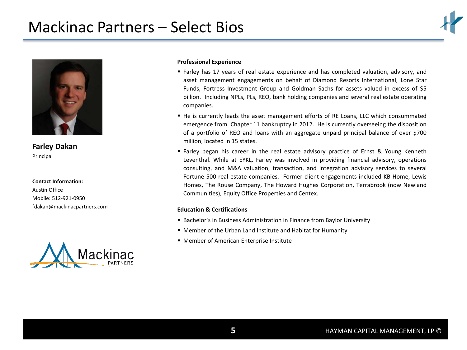# Mackinac Partners – Select Bios





**Farley Dakan** Principal

**Contact Information:**

Austin Office Mobile: 512-921-0950 [fdakan@mackinacpartners.com](mailto:jweissenborn@mackinacpartners.com)



### **Professional Experience**

- Farley has 17 years of real estate experience and has completed valuation, advisory, and asset management engagements on behalf of Diamond Resorts International, Lone Star Funds, Fortress Investment Group and Goldman Sachs for assets valued in excess of \$5 billion. Including NPLs, PLs, REO, bank holding companies and several real estate operating companies.
- He is currently leads the asset management efforts of RE Loans, LLC which consummated emergence from Chapter 11 bankruptcy in 2012. He is currently overseeing the disposition of a portfolio of REO and loans with an aggregate unpaid principal balance of over \$700 million, located in 15 states.
- Farley began his career in the real estate advisory practice of Ernst & Young Kenneth Leventhal. While at EYKL, Farley was involved in providing financial advisory, operations consulting, and M&A valuation, transaction, and integration advisory services to several Fortune 500 real estate companies. Former client engagements included KB Home, Lewis Homes, The Rouse Company, The Howard Hughes Corporation, Terrabrook (now Newland Communities), Equity Office Properties and Centex.

### **Education & Certifications**

- **Bachelor's in Business Administration in Finance from Baylor University**
- Member of the Urban Land Institute and Habitat for Humanity
- Member of American Enterprise Institute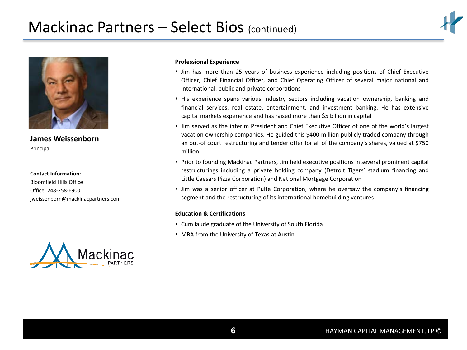



**[James Weissenborn](mailto:jweissenborn@mackinacpartners.com)** Principal

### **Contact Information:**

Bloomfield Hills Office Office: 248-258-6900 jweissenborn@mackinacpartners.com



### **Professional Experience**

- Jim has more than 25 years of business experience including positions of Chief Executive Officer, Chief Financial Officer, and Chief Operating Officer of several major national and international, public and private corporations
- His experience spans various industry sectors including vacation ownership, banking and financial services, real estate, entertainment, and investment banking. He has extensive capital markets experience and has raised more than \$5 billion in capital
- Jim served as the interim President and Chief Executive Officer of one of the world's largest vacation ownership companies. He guided this \$400 million publicly traded company through an out-of court restructuring and tender offer for all of the company's shares, valued at \$750 million
- Prior to founding Mackinac Partners, Jim held executive positions in several prominent capital restructurings including a private holding company (Detroit Tigers' stadium financing and Little Caesars Pizza Corporation) and National Mortgage Corporation
- Jim was a senior officer at Pulte Corporation, where he oversaw the company's financing segment and the restructuring of its international homebuilding ventures

### **Education & Certifications**

- Cum laude graduate of the University of South Florida
- MBA from the University of Texas at Austin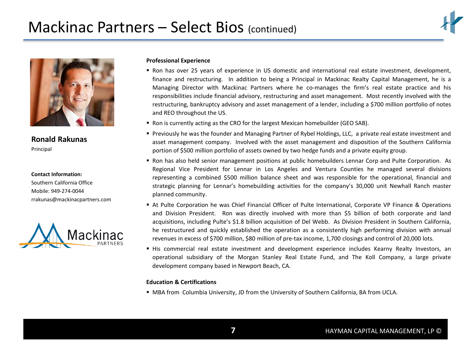



**[Ronald Rakunas](mailto:jweissenborn@mackinacpartners.com)** Principal

**Contact Information:**

Southern California Office Mobile: 949-274-0044 rrakunas@mackinacpartners.com



### **Professional Experience**

- Ron has over 25 years of experience in US domestic and international real estate investment, development, finance and restructuring. In addition to being a Principal in Mackinac Realty Capital Management, he is a Managing Director with Mackinac Partners where he co-manages the firm's real estate practice and his responsibilities include financial advisory, restructuring and asset management. Most recently involved with the restructuring, bankruptcy advisory and asset management of a lender, including a \$700 million portfolio of notes and REO throughout the US.
- Ron is currently acting as the CRO for the largest Mexican homebuilder (GEO SAB).
- Previously he was the founder and Managing Partner of Rybel Holdings, LLC, a private real estate investment and asset management company. Involved with the asset management and disposition of the Southern California portion of \$500 million portfolio of assets owned by two hedge funds and a private equity group.
- Ron has also held senior management positions at public homebuilders Lennar Corp and Pulte Corporation. As Regional Vice President for Lennar in Los Angeles and Ventura Counties he managed several divisions representing a combined \$500 million balance sheet and was responsible for the operational, financial and strategic planning for Lennar's homebuilding activities for the company's 30,000 unit Newhall Ranch master planned community.
- At Pulte Corporation he was Chief Financial Officer of Pulte International, Corporate VP Finance & Operations and Division President. Ron was directly involved with more than \$5 billion of both corporate and land acquisitions, including Pulte's \$1.8 billion acquisition of Del Webb. As Division President in Southern California, he restructured and quickly established the operation as a consistently high performing division with annual revenues in excess of \$700 million, \$80 million of pre-tax income, 1,700 closings and control of 20,000 lots.
- His commercial real estate investment and development experience includes Kearny Realty Investors, an operational subsidiary of the Morgan Stanley Real Estate Fund, and The Koll Company, a large private development company based in Newport Beach, CA.

### **Education & Certifications**

MBA from Columbia University, JD from the University of Southern California, BA from UCLA.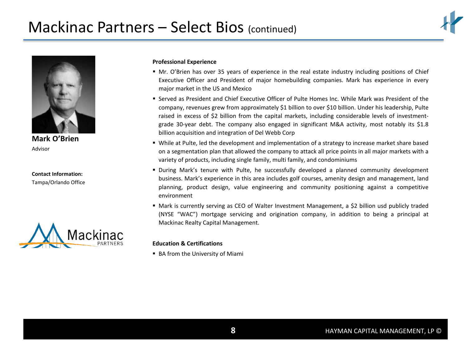



**[Mark O'Brien](mailto:jweissenborn@mackinacpartners.com)** Advisor

**Contact Information:** Tampa/Orlando Office



### **Professional Experience**

- Mr. O'Brien has over 35 years of experience in the real estate industry including positions of Chief Executive Officer and President of major homebuilding companies. Mark has experience in every major market in the US and Mexico
- Served as President and Chief Executive Officer of Pulte Homes Inc. While Mark was President of the company, revenues grew from approximately \$1 billion to over \$10 billion. Under his leadership, Pulte raised in excess of \$2 billion from the capital markets, including considerable levels of investmentgrade 30-year debt. The company also engaged in significant M&A activity, most notably its \$1.8 billion acquisition and integration of Del Webb Corp
- While at Pulte, led the development and implementation of a strategy to increase market share based on a segmentation plan that allowed the company to attack all price points in all major markets with a variety of products, including single family, multi family, and condominiums
- During Mark's tenure with Pulte, he successfully developed a planned community development business. Mark's experience in this area includes golf courses, amenity design and management, land planning, product design, value engineering and community positioning against a competitive environment
- Mark is currently serving as CEO of Walter Investment Management, a \$2 billion usd publicly traded (NYSE "WAC") mortgage servicing and origination company, in addition to being a principal at Mackinac Realty Capital Management.

### **Education & Certifications**

■ BA from the University of Miami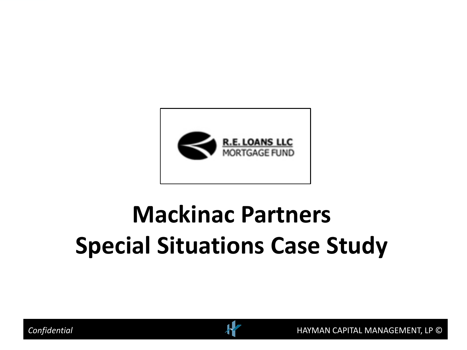

# **Mackinac Partners Special Situations Case Study**

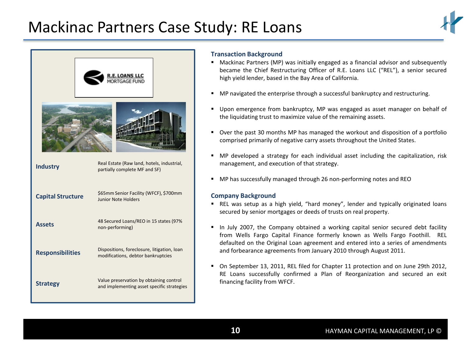



### **Transaction Background**

- Mackinac Partners (MP) was initially engaged as a financial advisor and subsequently became the Chief Restructuring Officer of R.E. Loans LLC ("REL"), a senior secured high yield lender, based in the Bay Area of California.
- MP navigated the enterprise through a successful bankruptcy and restructuring.
- Upon emergence from bankruptcy, MP was engaged as asset manager on behalf of the liquidating trust to maximize value of the remaining assets.
- Over the past 30 months MP has managed the workout and disposition of a portfolio comprised primarily of negative carry assets throughout the United States.
- MP developed a strategy for each individual asset including the capitalization, risk management, and execution of that strategy.
- MP has successfully managed through 26 non-performing notes and REO

### **Company Background**

- REL was setup as a high yield, "hard money", lender and typically originated loans secured by senior mortgages or deeds of trusts on real property.
- In July 2007, the Company obtained a working capital senior secured debt facility from Wells Fargo Capital Finance formerly known as Wells Fargo Foothill. REL defaulted on the Original Loan agreement and entered into a series of amendments and forbearance agreements from January 2010 through August 2011.
- On September 13, 2011, REL filed for Chapter 11 protection and on June 29th 2012, RE Loans successfully confirmed a Plan of Reorganization and secured an exit financing facility from WFCF.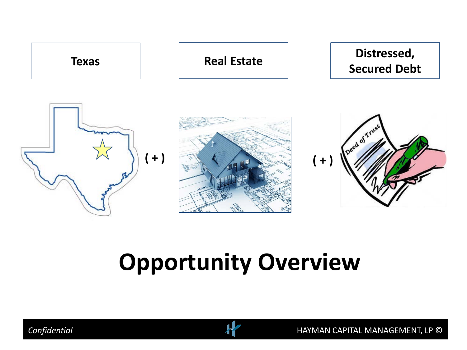

# **Opportunity Overview**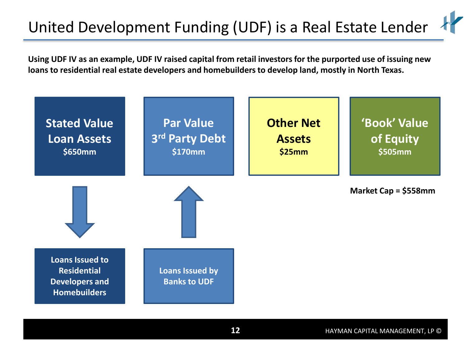# United Development Funding (UDF) is a Real Estate Lender

**Using UDF IV as an example, UDF IV raised capital from retail investors for the purported use of issuing new loans to residential real estate developers and homebuilders to develop land, mostly in North Texas.**

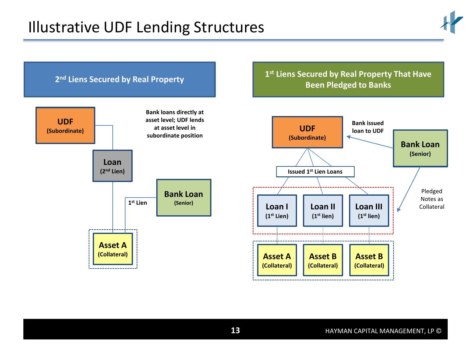

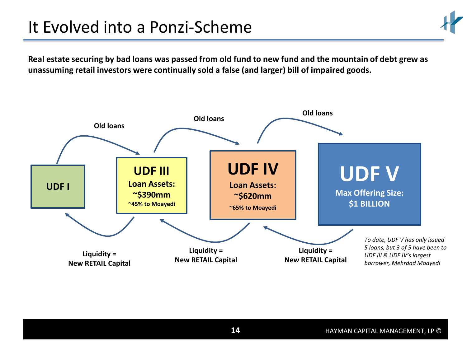# It Evolved into a Ponzi-Scheme

**Real estate securing by bad loans was passed from old fund to new fund and the mountain of debt grew as unassuming retail investors were continually sold a false (and larger) bill of impaired goods.**

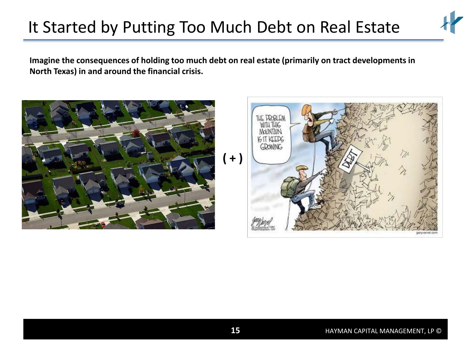# It Started by Putting Too Much Debt on Real Estate

**Imagine the consequences of holding too much debt on real estate (primarily on tract developments in North Texas) in and around the financial crisis.**

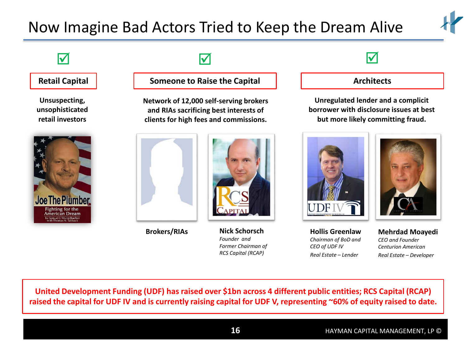# Now Imagine Bad Actors Tried to Keep the Dream Alive



**Unsuspecting, unsophisticated retail investors**



# $\sqrt{ }$

### **Retail Capital Someone to Raise the Capital**

**Network of 12,000 self-serving brokers and RIAs sacrificing best interests of clients for high fees and commissions.**





**Nick Schorsch** *Founder and Former Chairman of RCS Capital (RCAP)*

### **Architects**

**Unregulated lender and a complicit borrower with disclosure issues at best but more likely committing fraud.**



**Hollis Greenlaw** *Chairman of BoD and CEO of UDF IV Real Estate – Lender* **Brokers/RIAs Mehrdad Moayedi**



*CEO and Founder Centurion American Real Estate – Developer*

**United Development Funding (UDF) has raised over \$1bn across 4 different public entities; RCS Capital (RCAP) raised the capital for UDF IV and is currently raising capital for UDF V, representing ~60% of equity raised to date.**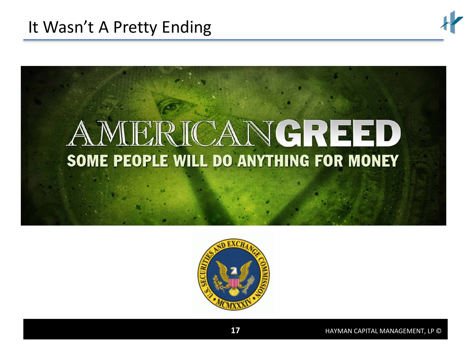

# AMERICANGREED SOME PEOPLE WILL DO ANYTHING FOR MONEY

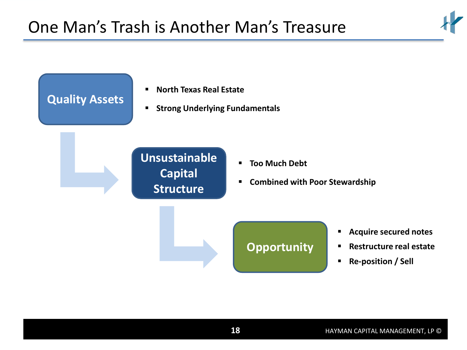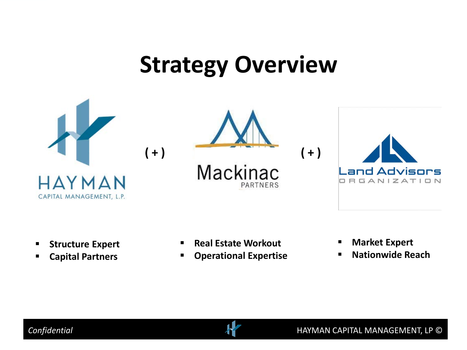# **Strategy Overview**



- **F** Structure Expert
- **Capital Partners**
- **Real Estate Workout**
- **Operational Expertise**
- **Market Expert**
- **Nationwide Reach**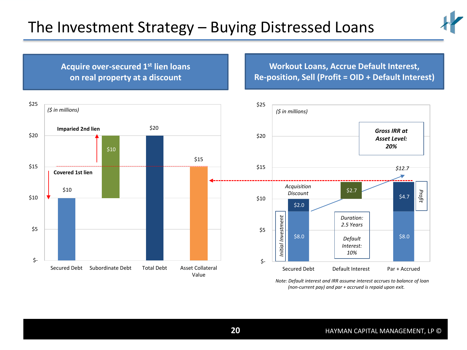**Acquire over-secured 1st lien loans on real property at a discount**



**Workout Loans, Accrue Default Interest, Re-position, Sell (Profit = OID + Default Interest)**



*Note: Default interest and IRR assume interest accrues to balance of loan (non-current pay) and par + accrued is repaid upon exit.*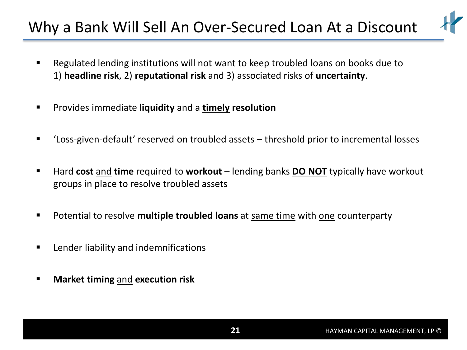# Why a Bank Will Sell An Over-Secured Loan At a Discount

- Regulated lending institutions will not want to keep troubled loans on books due to 1) **headline risk**, 2) **reputational risk** and 3) associated risks of **uncertainty**.
- Provides immediate **liquidity** and a **timely resolution**
- 'Loss-given-default' reserved on troubled assets threshold prior to incremental losses
- Hard **cost** and **time** required to **workout** lending banks **DO NOT** typically have workout groups in place to resolve troubled assets
- Potential to resolve **multiple troubled loans** at same time with one counterparty
- **EXECUTE:** Lender liability and indemnifications
- **Market timing** and **execution risk**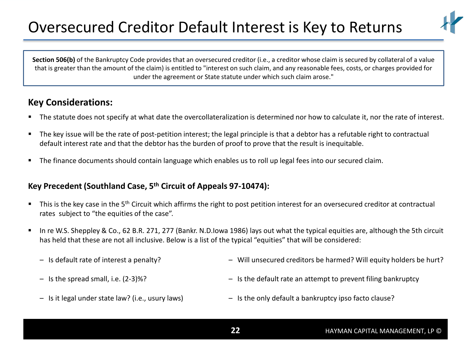# Oversecured Creditor Default Interest is Key to Returns



Section 506(b) of the Bankruptcy Code provides that an oversecured creditor (i.e., a creditor whose claim is secured by collateral of a value that is greater than the amount of the claim) is entitled to "interest on such claim, and any reasonable fees, costs, or charges provided for under the agreement or State statute under which such claim arose."

# **Key Considerations:**

- The statute does not specify at what date the overcollateralization is determined nor how to calculate it, nor the rate of interest.
- The key issue will be the rate of post-petition interest; the legal principle is that a debtor has a refutable right to contractual default interest rate and that the debtor has the burden of proof to prove that the result is inequitable.
- The finance documents should contain language which enables us to roll up legal fees into our secured claim.

## **Key Precedent (Southland Case, 5th Circuit of Appeals 97-10474):**

- This is the key case in the 5<sup>th</sup> Circuit which affirms the right to post petition interest for an oversecured creditor at contractual rates subject to "the equities of the case".
- In re W.S. Sheppley & Co., 62 B.R. 271, 277 (Bankr. N.D.Iowa 1986) lays out what the typical equities are, although the 5th circuit has held that these are not all inclusive. Below is a list of the typical "equities" that will be considered:
	- Is default rate of interest a penalty?

– Will unsecured creditors be harmed? Will equity holders be hurt?

– Is the spread small, i.e. (2-3)%?

– Is the default rate an attempt to prevent filing bankruptcy

– Is it legal under state law? (i.e., usury laws)

– Is the only default a bankruptcy ipso facto clause?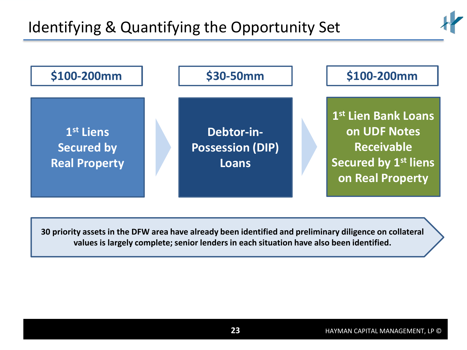



**30 priority assets in the DFW area have already been identified and preliminary diligence on collateral values is largely complete; senior lenders in each situation have also been identified.**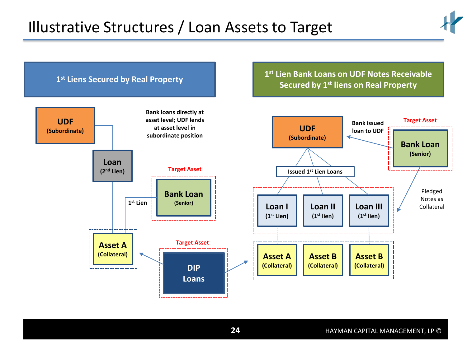

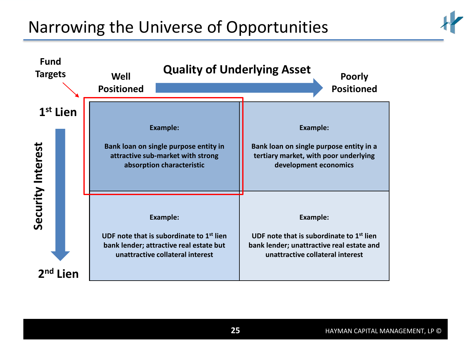# Narrowing the Universe of Opportunities



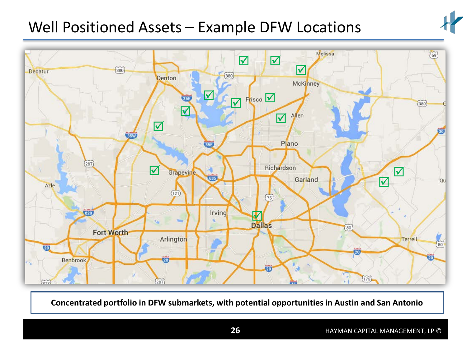# Well Positioned Assets – Example DFW Locations





**Concentrated portfolio in DFW submarkets, with potential opportunities in Austin and San Antonio**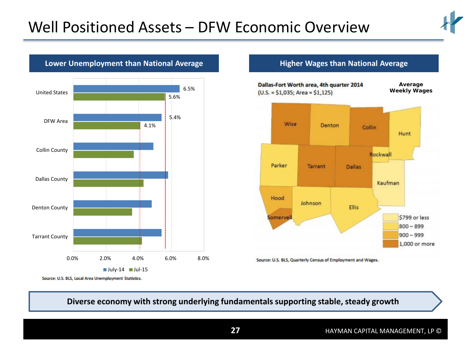![](_page_26_Figure_1.jpeg)

![](_page_26_Figure_2.jpeg)

### **Lower Unemployment than National Average <b>Higher Wages than National Average**

![](_page_26_Figure_5.jpeg)

Source: U.S. BLS, Local Area Unemployment Statistics.

**Diverse economy with strong underlying fundamentals supporting stable, steady growth**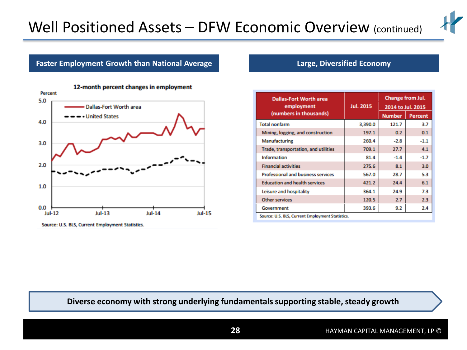![](_page_27_Picture_1.jpeg)

### **Faster Employment Growth than National Average <b>Lack Communist Contract Contract** Economy

![](_page_27_Figure_3.jpeg)

| <b>Dallas-Fort Worth area</b><br>employment      | <b>Jul. 2015</b> | <b>Change from Jul.</b><br>2014 to Jul. 2015 |                |  |  |
|--------------------------------------------------|------------------|----------------------------------------------|----------------|--|--|
| (numbers in thousands)                           |                  | <b>Number</b>                                | <b>Percent</b> |  |  |
| <b>Total nonfarm</b>                             | 3,390.0          | 121.7                                        | 3.7            |  |  |
| Mining, logging, and construction                | 197.1            | 0.2                                          | 0.1            |  |  |
| Manufacturing                                    | 260.4            | $-2.8$                                       | $-1.1$         |  |  |
| Trade, transportation, and utilities             | 709.1            | 27.7                                         | 4.1            |  |  |
| <b>Information</b>                               | 81.4             | $-1.4$                                       | $-1.7$         |  |  |
| <b>Financial activities</b>                      | 275.6            | 8.1                                          | 3.0            |  |  |
| Professional and business services               | 567.0            | 28.7                                         | 5.3            |  |  |
| <b>Education and health services</b>             | 421.2            | 24.4                                         | 6.1            |  |  |
| Leisure and hospitality                          | 364.1            | 24.9                                         | 7.3            |  |  |
| <b>Other services</b>                            | 120.5            | 2.7                                          | 2.3            |  |  |
| Government                                       | 393.6            | 9.2                                          | 2.4            |  |  |
| Source: U.S. BLS, Current Employment Statistics. |                  |                                              |                |  |  |

### **Diverse economy with strong underlying fundamentals supporting stable, steady growth**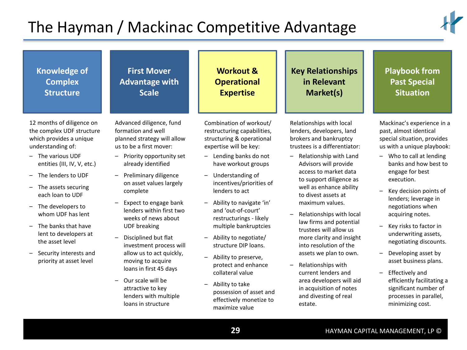# The Hayman / Mackinac Competitive Advantage

![](_page_28_Picture_1.jpeg)

| <b>Knowledge of</b>                                                                                                                                                                                                                                                               | <b>First Mover</b>                                                                                                                                                                                                                                                                                                                                                                                                                       | <b>Workout &amp;</b>                                                                                                                                                                                                                                                                                                                                                                                                                      | <b>Key Relationships</b>                                                                                                                                                                                                                                                                                                                                                                                                                                                          | <b>Playbook from</b>                                                                                                                                                                                                                                                                                                                                                                                                                          |
|-----------------------------------------------------------------------------------------------------------------------------------------------------------------------------------------------------------------------------------------------------------------------------------|------------------------------------------------------------------------------------------------------------------------------------------------------------------------------------------------------------------------------------------------------------------------------------------------------------------------------------------------------------------------------------------------------------------------------------------|-------------------------------------------------------------------------------------------------------------------------------------------------------------------------------------------------------------------------------------------------------------------------------------------------------------------------------------------------------------------------------------------------------------------------------------------|-----------------------------------------------------------------------------------------------------------------------------------------------------------------------------------------------------------------------------------------------------------------------------------------------------------------------------------------------------------------------------------------------------------------------------------------------------------------------------------|-----------------------------------------------------------------------------------------------------------------------------------------------------------------------------------------------------------------------------------------------------------------------------------------------------------------------------------------------------------------------------------------------------------------------------------------------|
| <b>Complex</b>                                                                                                                                                                                                                                                                    | <b>Advantage with</b>                                                                                                                                                                                                                                                                                                                                                                                                                    | <b>Operational</b>                                                                                                                                                                                                                                                                                                                                                                                                                        | in Relevant                                                                                                                                                                                                                                                                                                                                                                                                                                                                       | <b>Past Special</b>                                                                                                                                                                                                                                                                                                                                                                                                                           |
| <b>Structure</b>                                                                                                                                                                                                                                                                  | <b>Scale</b>                                                                                                                                                                                                                                                                                                                                                                                                                             | <b>Expertise</b>                                                                                                                                                                                                                                                                                                                                                                                                                          | Market(s)                                                                                                                                                                                                                                                                                                                                                                                                                                                                         | <b>Situation</b>                                                                                                                                                                                                                                                                                                                                                                                                                              |
| 12 months of diligence on                                                                                                                                                                                                                                                         | Advanced diligence, fund                                                                                                                                                                                                                                                                                                                                                                                                                 | Combination of workout/                                                                                                                                                                                                                                                                                                                                                                                                                   | Relationships with local                                                                                                                                                                                                                                                                                                                                                                                                                                                          | Mackinac's experience in a                                                                                                                                                                                                                                                                                                                                                                                                                    |
| the complex UDF structure                                                                                                                                                                                                                                                         | formation and well                                                                                                                                                                                                                                                                                                                                                                                                                       | restructuring capabilities,                                                                                                                                                                                                                                                                                                                                                                                                               | lenders, developers, land                                                                                                                                                                                                                                                                                                                                                                                                                                                         | past, almost identical                                                                                                                                                                                                                                                                                                                                                                                                                        |
| which provides a unique                                                                                                                                                                                                                                                           | planned strategy will allow                                                                                                                                                                                                                                                                                                                                                                                                              | structuring & operational                                                                                                                                                                                                                                                                                                                                                                                                                 | brokers and bankruptcy                                                                                                                                                                                                                                                                                                                                                                                                                                                            | special situation, provides                                                                                                                                                                                                                                                                                                                                                                                                                   |
| understanding of:                                                                                                                                                                                                                                                                 | us to be a first mover:                                                                                                                                                                                                                                                                                                                                                                                                                  | expertise will be key:                                                                                                                                                                                                                                                                                                                                                                                                                    | trustees is a differentiator:                                                                                                                                                                                                                                                                                                                                                                                                                                                     | us with a unique playbook:                                                                                                                                                                                                                                                                                                                                                                                                                    |
| The various UDF<br>entities (III, IV, V, etc.)<br>The lenders to UDF<br>The assets securing<br>each loan to UDF<br>The developers to<br>whom UDF has lent<br>The banks that have<br>lent to developers at<br>the asset level<br>Security interests and<br>priority at asset level | Priority opportunity set<br>already identified<br>Preliminary diligence<br>on asset values largely<br>complete<br>Expect to engage bank<br>lenders within first two<br>weeks of news about<br><b>UDF</b> breaking<br>Disciplined but flat<br>investment process will<br>allow us to act quickly,<br>moving to acquire<br>loans in first 45 days<br>Our scale will be<br>attractive to key<br>lenders with multiple<br>loans in structure | Lending banks do not<br>$-$<br>have workout groups<br>Understanding of<br>incentives/priorities of<br>lenders to act<br>Ability to navigate 'in'<br>and 'out-of-court'<br>restructurings - likely<br>multiple bankruptcies<br>Ability to negotiate/<br>structure DIP loans.<br>Ability to preserve,<br>protect and enhance<br>collateral value<br>Ability to take<br>possession of asset and<br>effectively monetize to<br>maximize value | Relationship with Land<br>Advisors will provide<br>access to market data<br>to support diligence as<br>well as enhance ability<br>to divest assets at<br>maximum values.<br>Relationships with local<br>law firms and potential<br>trustees will allow us<br>more clarity and insight<br>into resolution of the<br>assets we plan to own.<br>Relationships with<br>current lenders and<br>area developers will aid<br>in acquisition of notes<br>and divesting of real<br>estate. | Who to call at lending<br>$-$<br>banks and how best to<br>engage for best<br>execution.<br>Key decision points of<br>lenders; leverage in<br>negotiations when<br>acquiring notes.<br>Key risks to factor in<br>underwriting assets,<br>negotiating discounts.<br>Developing asset by<br>asset business plans.<br><b>Effectively and</b><br>efficiently facilitating a<br>significant number of<br>processes in parallel,<br>minimizing cost. |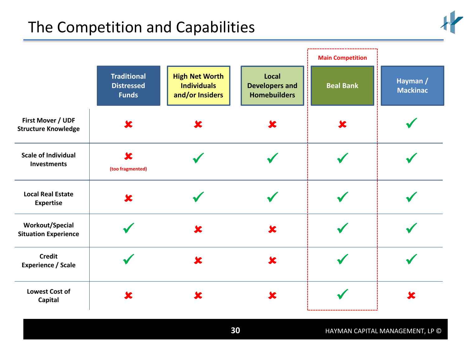# The Competition and Capabilities

![](_page_29_Picture_1.jpeg)

|                                                       |                                                         |                                                                |                                                       | <b>Main Competition</b> |                             |
|-------------------------------------------------------|---------------------------------------------------------|----------------------------------------------------------------|-------------------------------------------------------|-------------------------|-----------------------------|
|                                                       | <b>Traditional</b><br><b>Distressed</b><br><b>Funds</b> | <b>High Net Worth</b><br><b>Individuals</b><br>and/or Insiders | Local<br><b>Developers and</b><br><b>Homebuilders</b> | <b>Beal Bank</b>        | Hayman /<br><b>Mackinac</b> |
| First Mover / UDF<br><b>Structure Knowledge</b>       | X                                                       |                                                                | x                                                     | X                       |                             |
| <b>Scale of Individual</b><br><b>Investments</b>      | $\mathbf x$<br>(too fragmented)                         |                                                                |                                                       |                         |                             |
| <b>Local Real Estate</b><br><b>Expertise</b>          | $\mathbf x$                                             |                                                                |                                                       |                         |                             |
| <b>Workout/Special</b><br><b>Situation Experience</b> |                                                         |                                                                | X                                                     |                         |                             |
| <b>Credit</b><br><b>Experience / Scale</b>            |                                                         | X                                                              | $\overline{\mathbf{x}}$                               |                         |                             |
| <b>Lowest Cost of</b><br>Capital                      | x                                                       |                                                                | X                                                     |                         | x                           |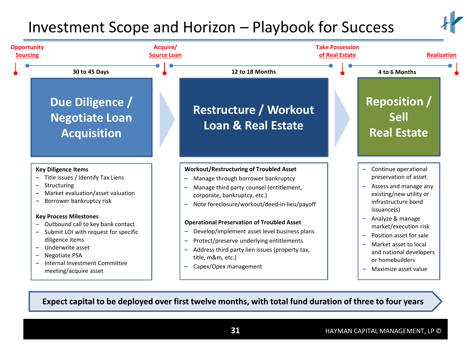# Investment Scope and Horizon – Playbook for Success

![](_page_30_Picture_1.jpeg)

![](_page_30_Figure_2.jpeg)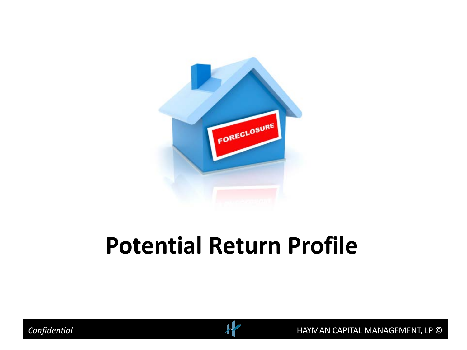![](_page_31_Picture_0.jpeg)

# **Potential Return Profile**

![](_page_31_Picture_2.jpeg)

![](_page_31_Picture_3.jpeg)

*Confidential* HAYMAN CAPITAL MANAGEMENT, LP ©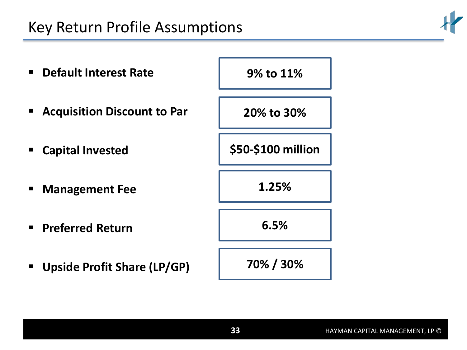# Key Return Profile Assumptions

![](_page_32_Picture_1.jpeg)

![](_page_32_Figure_2.jpeg)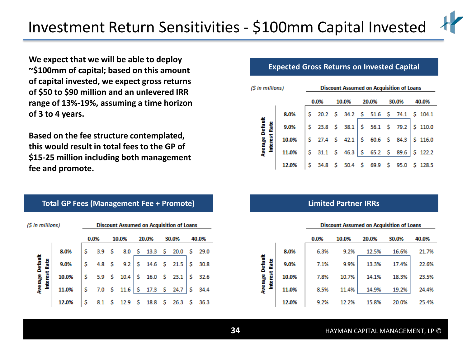![](_page_33_Picture_1.jpeg)

**We expect that we will be able to deploy ~\$100mm of capital; based on this amount of capital invested, we expect gross returns of \$50 to \$90 million and an unlevered IRR range of 13%-19%, assuming a time horizon of 3 to 4 years.**

**Based on the fee structure contemplated, this would result in total fees to the GP of \$15-25 million including both management fee and promote.**

| (\$ in millions)                 |       |   |            | <b>Discount Assumed on Acquisition of Loans</b> |   |                         |       |     |       |
|----------------------------------|-------|---|------------|-------------------------------------------------|---|-------------------------|-------|-----|-------|
|                                  |       |   | 0.0%       | 10.0%                                           |   | 20.0%                   | 30.0% |     | 40.0% |
|                                  | 8.0%  | Ś |            | 3.9 \$ 8.0 \$ 13.3 \$ 20.0 \$ 29.0              |   |                         |       |     |       |
|                                  | 9.0%  | Ś | 4.8 $S$    |                                                 |   | $9.2$   \$ 14.6 \$ 21.5 |       | -S  | 30.8  |
| Average Default<br>Interest Rate | 10.0% | Ś |            |                                                 |   | $16.0 \t5 23.1$         |       | \$. | 32.6  |
|                                  | 11.0% | Ś |            | 7.0 \$ 11.6 \$ 17.3 \$ 24.7                     |   |                         |       | Ś   | 34.4  |
|                                  | 12.0% |   | $8.1\quad$ | 12.9                                            | s | $18.8\quad$ \$          | 26.3  |     | 36.3  |

**Total GP Fees (Management Fee + Promote)**

### **Expected Gross Returns on Invested Capital**

| '\$ in millions)   |       |      |               | <b>Discount Assumed on Acquisition of Loans</b>                                           |       |       |                                              |
|--------------------|-------|------|---------------|-------------------------------------------------------------------------------------------|-------|-------|----------------------------------------------|
|                    |       | 0.0% | 10.0%         | 20.0%                                                                                     | 30.0% | 40.0% |                                              |
|                    | 8.0%  |      |               |                                                                                           |       |       | $$20.2$$ $$34.2$$ $$51.6$$ $$74.1$$ $$104.1$ |
| Default<br>n<br>Sa | 9.0%  |      |               | $\begin{array}{cccc c} 5 & 23.8 & 5 & 38.1 & 5 & 56.1 & 5 & 79.2 & 5 & 110.0 \end{array}$ |       |       |                                              |
| š                  | 10.0% |      | \$27.4\$542.1 |                                                                                           |       |       |                                              |
| Average I<br>Ë     | 11.0% | Ś.   |               | $31.1$ \$ 46.3 \$ 65.2 \$ 89.6 \$ 122.2                                                   |       |       |                                              |
|                    | 12.0% | Ś.   |               | 34.8 \$ 50.4 \$ 69.9 \$ 95.0                                                              |       |       | \$128.5                                      |

### **Limited Partner IRRs**

|       |      |       | procedure researched on requisition of county                        |       |       |
|-------|------|-------|----------------------------------------------------------------------|-------|-------|
|       | 0.0% | 10.0% | 20.0%                                                                | 30.0% | 40.0% |
| 8.0%  | 6.3% | 9.2%  | 12.5%                                                                | 16.6% | 21.7% |
| 9.0%  | 7.1% | 9.9%  | 13.3%<br>17.4%<br>10.7%<br>18.3%<br>14.1%<br>11.4%<br>14.9%<br>19.2% |       | 22.6% |
| 10.0% | 7.8% |       |                                                                      |       | 23.5% |
| 11.0% | 8.5% |       |                                                                      |       | 24.4% |
| 12.0% | 9.2% | 12.2% | 15.8%                                                                | 20.0% | 25.4% |

Discount Assumed on Acquisition of Loans

Average Default Interest Rate